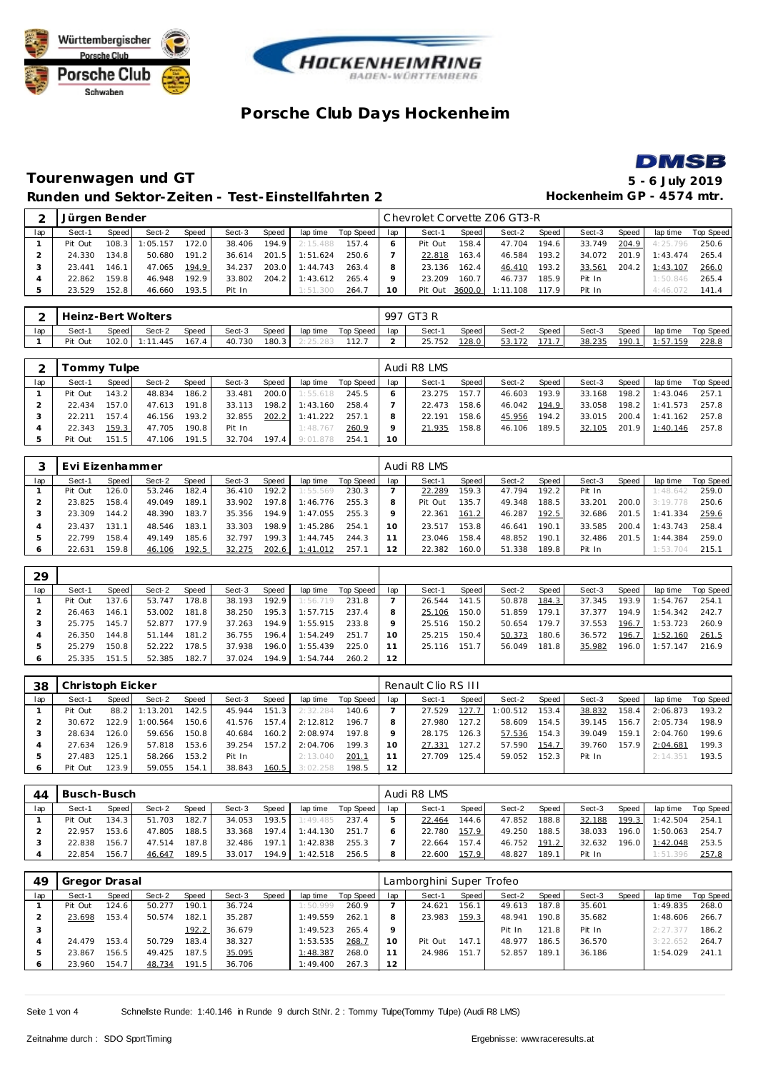





### **Tourenwagen und GT 5 - 6 July 2019 Runden und Sektor-Zeiten - Test-Einstellfahrten 2 Hockenheim GP - 4574 mtr.**

|     | Jürgen Bender |       |          |       |        |       |          |                 |    |         |        | Chevrolet Corvette Z06 GT3-R |       |        |       |          |           |
|-----|---------------|-------|----------|-------|--------|-------|----------|-----------------|----|---------|--------|------------------------------|-------|--------|-------|----------|-----------|
| lap | Sect-1        | Speed | Sect-2   | Speed | Sect-3 | Speed | lap time | Top Speed   Iap |    | Sect-1  | Speed  | Sect-2                       | Speed | Sect-3 | Speed | lap time | Top Speed |
|     | Pit Out       | 108.3 | 1:05.157 | 172.0 | 38.406 | 194.9 | 2:15.488 | 157.4           | 6  | Pit Out | 158.4  | 47.704                       | 194.6 | 33.749 | 204.9 | 4:25.796 | 250.6     |
|     | 24.330        | 134.8 | 50.680   | 191.2 | 36.614 | 201.5 | 1:51.624 | 250.6           |    | 22.818  | 163.4  | 46.584                       | 193.2 | 34.072 | 201.9 | 1:43.474 | 265.4     |
|     | 23.441        | 146.1 | 47.065   | 194.9 | 34.237 | 203.0 | 1:44.743 | 263.4           |    | 23.136  | 162.4  | 46.410                       | 193.2 | 33.561 | 204.2 | 1:43.107 | 266.0     |
|     | 22.862        | 159.8 | 46.948   | 192.9 | 33.802 | 204.2 | 1:43.612 | 265.4           |    | 23.209  | 160.7  | 46.737                       | 185.9 | Pit In |       | 1:50.846 | 265.4     |
|     | 23.529        | 152.8 | 46.660   | 193.5 | Pit In |       | 1:51.300 | 264.7           | 10 | Pit Out | 3600.0 | 1:11.108                     | 117.9 | Pit In |       | 4:46.072 | 141.4     |

|     |         |       | Heinz-Bert Wolters |       |        |       |                  |           |     | 997 GT3 R |       |        |       |        |       |                 |           |
|-----|---------|-------|--------------------|-------|--------|-------|------------------|-----------|-----|-----------|-------|--------|-------|--------|-------|-----------------|-----------|
| lap | Sect-1  | Speed | Sect-2             | Speed | Sect-3 | Speed | lap time         | Top Speed | lap | Sect-1    | Speed | Sect-2 | Speed | Sect-3 | Speed | lap time        | Top Speed |
|     | Pit Out |       | $102.0$ 1:11.445   | 167.4 | 40.730 |       | $180.3$ 2:25.283 | 112.7     |     | 25.752    | 128.0 | 53.172 | 171.7 | 38.235 | 190.1 | <u>1:57.159</u> | 228.8     |

|     | Fommy Tulpe |       |        |       |        |       |          |           |     | Audi R8 LMS |       |        |       |        |       |           |           |
|-----|-------------|-------|--------|-------|--------|-------|----------|-----------|-----|-------------|-------|--------|-------|--------|-------|-----------|-----------|
| lap | Sect-1      | Speed | Sect-2 | Speed | Sect-3 | Speed | lap time | Top Speed | lap | Sect-1      | Speed | Sect-2 | Speed | Sect-3 | Speed | lap time  | Top Speed |
|     | Pit Out     | 143.2 | 48.834 | 186.2 | 33.481 | 200.0 | 1:55.618 | 245.5     |     | 23.275      | 157.7 | 46.603 | 193.9 | 33.168 | 198.2 | 1:43.046  | 257.1     |
|     | 22.434      | 157.0 | 47.613 | 191.8 | 33.113 | 198.2 | 1:43.160 | 258.4     |     | 22.473      | 158.6 | 46.042 | 194.9 | 33.058 | 198.2 | 1:41.573  | 257.8     |
|     | 22.211      | 157.4 | 46.156 | 193.2 | 32.855 | 202.2 | 1:41.222 | 257.1     |     | 22.191      | 158.6 | 45.956 | 194.2 | 33.015 | 200.4 | 1: 41.162 | 257.8     |
|     | 22.343      | 159.3 | 47.705 | 190.8 | Pit In |       | 1:48.767 | 260.9     |     | 21.935      | 158.8 | 46.106 | 189.5 | 32.105 | 201.9 | 1:40.146  | 257.8     |
|     | Pit Out     | 151.5 | 47.106 | 191.5 | 32.704 | 197.4 | 9:01.878 | 254.1     | 10  |             |       |        |       |        |       |           |           |

|     | Evi Eizenhammer |        |        |       |        |                    |          |           |     | Audi R8 LMS |                    |        |       |        |       |           |           |
|-----|-----------------|--------|--------|-------|--------|--------------------|----------|-----------|-----|-------------|--------------------|--------|-------|--------|-------|-----------|-----------|
| lap | Sect-1          | Speed  | Sect-2 | Speed | Sect-3 | Speed              | lap time | Top Speed | lap | Sect-1      | Speed              | Sect-2 | Speed | Sect-3 | Speed | lap time  | Top Speed |
|     | Pit Out         | 126.01 | 53.246 | 182.4 | 36.410 | 192.2              | 1:55.569 | 230.3     |     | 22.289      | 159.3              | 47.794 | 192.2 | Pit In |       | 1:48.64   | 259.0     |
|     | 23.825          | 158.4  | 49.049 | 189.1 | 33.902 | 197.8              | 1:46.776 | 255.3     | 8   | Pit Out     | 135.7 <sub>1</sub> | 49.348 | 188.5 | 33.201 | 200.0 | 3:19.778  | 250.6     |
|     | 23.309          | 144.2  | 48.390 | 183.7 | 35.356 | 194.9              | 1:47.055 | 255.3     | Q   | 22.361      | 161.2              | 46.287 | 192.5 | 32.686 | 201.5 | 1: 41.334 | 259.6     |
|     | 23.437          | 131.1  | 48.546 | 183.1 | 33.303 | 198.9              | 1:45.286 | 254.7     | 10  | 23.517      | 153.8              | 46.641 | 190.1 | 33.585 | 200.4 | : 43.743  | 258.4     |
| 5   | 22.799          | 158.4  | 49.149 | 185.6 | 32.797 | 199.3 <sub>1</sub> | 1:44.745 | 244.3     |     | 23.046      | 158.4              | 48.852 | 190.1 | 32.486 | 201.5 | : 44.384  | 259.0     |
| 6   | 22.631          | 159.8  | 46.106 | 192.5 | 32.275 | 202.6              | 1:41.012 | 257.7     |     | 22.382      | 160.0              | 51.338 | 189.8 | Pit In |       | : 53.704  | 215.7     |

| 29      |         |       |        |       |        |       |          |           |     |        |                    |        |       |        |       |          |           |
|---------|---------|-------|--------|-------|--------|-------|----------|-----------|-----|--------|--------------------|--------|-------|--------|-------|----------|-----------|
| lap     | Sect-1  | Speed | Sect-2 | Speed | Sect-3 | Speed | lap time | Top Speed | lap | Sect-1 | Speed              | Sect-2 | Speed | Sect-3 | Speed | lap time | Top Speed |
|         | Pit Out | 137.6 | 53.747 | 178.8 | 38.193 | 192.9 | 1:56.719 | 231.8     |     | 26.544 | 141.5              | 50.878 | 184.3 | 37.345 | 193.9 | : 54.767 | 254.1     |
|         | 26.463  | 146.1 | 53.002 | 181.8 | 38.250 | 195.3 | 1:57.715 | 237.4     | 8   | 25.106 | 150.0              | 51.859 | 179.1 | 37.377 | 194.9 | 1:54.342 | 242.7     |
|         | 25.775  | 145.7 | 52.877 | 177.9 | 37.263 | 194.9 | 1:55.915 | 233.8     |     | 25.516 | 150.2              | 50.654 | 179.7 | 37.553 | 196.7 | 1:53.723 | 260.9     |
|         | 26.350  | 144.8 | 51.144 | 181.2 | 36.755 | 196.4 | 1:54.249 | 251.7     | 10  | 25.215 | 150.4 <sub>1</sub> | 50.373 | 180.6 | 36.572 | 196.7 | 1:52.160 | 261.5     |
|         | 25.279  | 150.8 | 52.222 | 178.5 | 37.938 | 196.0 | 1:55.439 | 225.0     |     | 25.116 | 151.7              | 56.049 | 181.8 | 35.982 | 196.0 | 1:57.147 | 216.9     |
| $\circ$ | 25.335  | 151.5 | 52.385 | 182.7 | 37.024 | 194.9 | 1:54.744 | 260.2     | 12  |        |                    |        |       |        |       |          |           |

| 38  | Christoph Eicker |       |          |       |        |                  |          |           |     | Renault Clio RS III |       |         |       |        |       |          |                  |
|-----|------------------|-------|----------|-------|--------|------------------|----------|-----------|-----|---------------------|-------|---------|-------|--------|-------|----------|------------------|
| lap | Sect-1           | Speed | Sect-2   | Speed | Sect-3 | Speed            | lap time | Top Speed | lap | Sect-1              | Speed | Sect-2  | Speed | Sect-3 | Speed | lap time | <b>Top Speed</b> |
|     | Pit Out          | 88.2  | 1:13.201 | 142.5 | 45.944 | 151<br>$\cdot$ 3 | 2:32.284 | 140.6     |     | 27.529              | 127.7 | :00.512 | 153.4 | 38.832 | 158.4 | 2:06.873 | 193.2            |
|     | 30.672           | 122.9 | : 00.564 | 150.6 | 41.576 | 157.4            | 2:12.812 | 196.7     |     | 27.980              | 127.2 | 58.609  | 154.5 | 39.145 | 156.7 | 2:05.734 | 198.9            |
| 3   | 28.634           | 126.0 | 59.656   | 150.8 | 40.684 | 160.2            | 2:08.974 | 197.8     |     | 28.175              | 126.3 | 57.536  | 154.3 | 39.049 | 159.1 | 2:04.760 | 199.6            |
| 4   | 27.634           | 126.9 | 57.818   | 153.6 | 39.254 | 157.2            | 2:04.706 | 199.3     | 10  | 27.331              | 127.2 | 57.590  | 154.7 | 39.760 | 157.9 | 2:04.681 | 199.3            |
|     | 27.483           | 125.1 | 58.266   | 153.2 | Pit In |                  | 2:13.040 | 201.7     |     | 27.709              | 125.4 | 59.052  | 152.3 | Pit In |       | 2:14.351 | 193.5            |
| O   | Pit Out          | 123.9 | 59.055   | 154.1 | 38.843 | 160.5            | 3:02.258 | 198.5     | 12  |                     |       |         |       |        |       |          |                  |

| 44  | Busch-Busch |       |        |              |        |       |          |           |     | Audi R8 LMS |        |        |       |        |       |          |           |
|-----|-------------|-------|--------|--------------|--------|-------|----------|-----------|-----|-------------|--------|--------|-------|--------|-------|----------|-----------|
| lap | Sect-1      | Speed | Sect-2 | <b>Speed</b> | Sect-3 | Speed | lap time | Top Speed | lap | Sect-1      | Speed  | Sect-2 | Speed | Sect-3 | Speed | lap time | Top Speed |
|     | Pit Out     | 134.3 | 51.703 | 182.7        | 34.053 | 193.5 | 1:49.485 | 237.4     |     | 22.464      | 144.61 | 47.852 | 188.8 | 32.188 | 199.3 | 1:42.504 | 254.      |
|     | 22.957      | 153.6 | 47.805 | 188.5        | 33.368 | 197.4 | 1:44.130 | 251.7     |     | 22.780      | 157.9  | 49.250 | 188.5 | 38.033 | 196.0 | 1:50.063 | 254.7     |
|     | 22.838      | 156.7 | 47.514 | 187.81       | 32.486 | 197.1 | 1:42.838 | 255.3     |     | 22.664      | 157.4  | 46.752 | 191.2 | 32.632 | 196.0 | 1:42.048 | 253.5     |
|     | 22.854      | 156.7 | 46.647 | 189.5        | 33.017 | 194.9 | 1:42.518 | 256.5     |     | 22.600      | 157.9  | 48.827 | 189.1 | Pit In |       | 1:51.396 | 257.8     |

| 49  | Gregor Drasal |       |        |       |        |       |          |           |     | Lamborghini Super Trofeo |       |        |                    |        |       |          |           |
|-----|---------------|-------|--------|-------|--------|-------|----------|-----------|-----|--------------------------|-------|--------|--------------------|--------|-------|----------|-----------|
| lap | Sect-1        | Speed | Sect-2 | Speed | Sect-3 | Speed | lap time | Top Speed | lap | Sect-1                   | Speed | Sect-2 | Speed              | Sect-3 | Speed | lap time | Top Speed |
|     | Pit Out       | 124.6 | 50.277 | 190.1 | 36.724 |       | 1:50.999 | 260.9     |     | 24.621                   | 156.1 | 49.613 | 187.8 <sub>1</sub> | 35.601 |       | 1:49.835 | 268.0     |
|     | 23.698        | 153.4 | 50.574 | 182.1 | 35.287 |       | 1:49.559 | 262.1     | 8   | 23.983                   | 159.3 | 48.941 | 190.8              | 35.682 |       | 1:48.606 | 266.7     |
|     |               |       |        | 192.2 | 36.679 |       | 1:49.523 | 265.4     | Q   |                          |       | Pit In | 121.8              | Pit In |       | 2:27.37  | 186.2     |
|     | 24.479        | 153.4 | 50.729 | 183.4 | 38.327 |       | 1:53.535 | 268.7     | 10  | Pit Out                  | 147.1 | 48.977 | 186.5              | 36.570 |       | 3:22.652 | 264.7     |
|     | 23.867        | 156.5 | 49.425 | 187.5 | 35.095 |       | 1:48.387 | 268.0     |     | 24.986                   | 151.  | 52.857 | 189.1              | 36.186 |       | 1:54.029 | 241.1     |
|     | 23.960        | 154.7 | 48.734 | 191.5 | 36.706 |       | 1:49.400 | 267.3     | 12  |                          |       |        |                    |        |       |          |           |

Seite 1 von 4 Schnelste Runde: 1:40.146 in Runde 9 durch StNr. 2 : Tommy Tulpe(Tommy Tulpe) (Audi R8 LMS)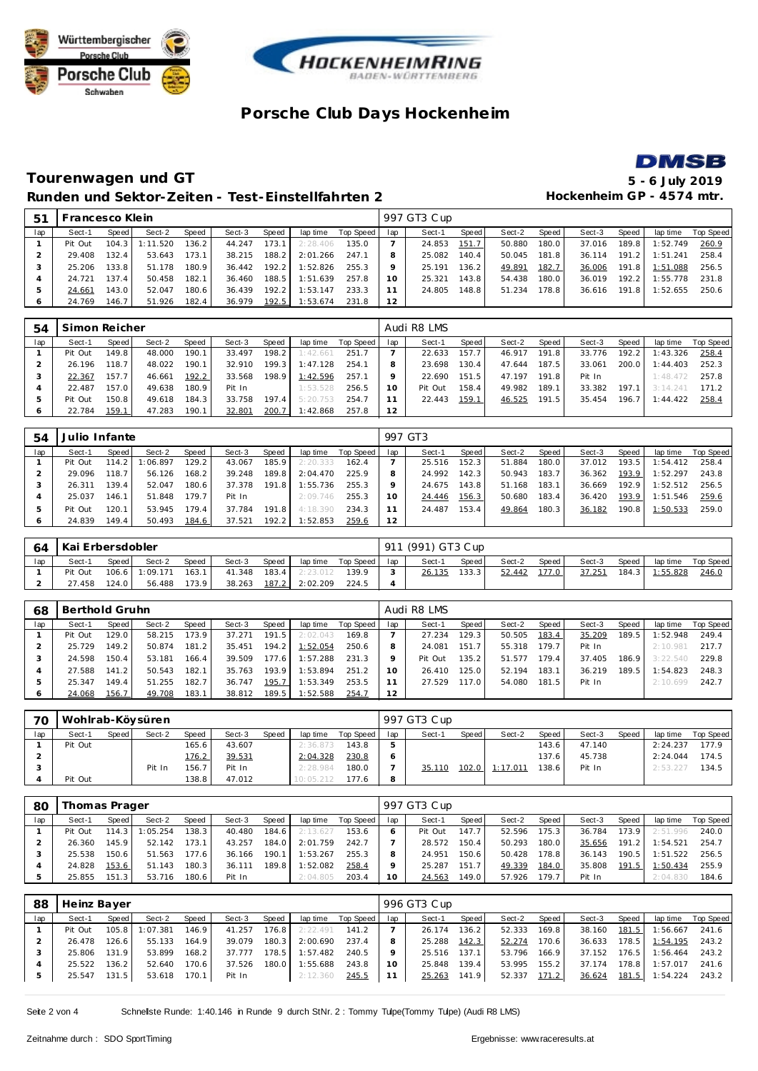





### **Tourenwagen und GT 5 - 6 July 2019** Runden und Sektor-Zeiten - Test-Einstellfahrten 2 **Hockenheim GP** - 4574 mtr.

| 51  | Francesco Klein |                                                         |          |       |        |        |          |       |    | 997 GT3 Cup |       |        |       |        |       |          |           |
|-----|-----------------|---------------------------------------------------------|----------|-------|--------|--------|----------|-------|----|-------------|-------|--------|-------|--------|-------|----------|-----------|
| lap | Sect-1          | Sect-2<br>Speed<br>Speed<br>Sect-3<br>Speed<br>lap time |          |       |        |        |          |       |    | Sect-1      | Speed | Sect-2 | Speed | Sect-3 | Speed | lap time | Top Speed |
|     | Pit Out         | 104.3                                                   | 1:11.520 | 136.2 | 44.247 | 173.1  | 2:28.406 | 135.0 |    | 24.853      | 151.7 | 50.880 | 180.0 | 37.016 | 189.8 | 1:52.749 | 260.9     |
|     | 29.408          | 132.4                                                   | 53.643   | 173.1 | 38.215 | 188.2. | 2:01.266 | 247.1 |    | 25.082      | 140.4 | 50.045 | 181.8 | 36.114 | 191.2 | 1:51.241 | 258.4     |
|     | 25.206          | 133.8                                                   | 51.178   | 180.9 | 36.442 | 192.2  | 1:52.826 | 255.3 |    | 25.191      | 136.2 | 49.891 | 182.7 | 36.006 | 191.8 | 1:51.088 | 256.5     |
|     | 24.721          | 137.4                                                   | 50.458   | 182.1 | 36.460 | 188.5  | 1:51.639 | 257.8 | 10 | 25.321      | 143.8 | 54.438 | 180.0 | 36.019 | 192.2 | 1:55.778 | 231.8     |
|     | 24.661          | 143.0 l                                                 | 52.047   | 180.6 | 36.439 | 192.2  | 1:53.147 | 233.3 |    | 24.805      | 148.8 | 51.234 | 178.8 | 36.616 | 191.8 | 1:52.655 | 250.6     |
|     | 24.769          | 146.7                                                   | 51.926   | 182.4 | 36.979 | 192.5  | 1:53.674 | 231.8 | 12 |             |       |        |       |        |       |          |           |

| 54  | Simon Reicher |       |        |       |        |                    |          |           |     | Audi R8 LMS |       |        |                    |        |       |          |           |
|-----|---------------|-------|--------|-------|--------|--------------------|----------|-----------|-----|-------------|-------|--------|--------------------|--------|-------|----------|-----------|
| lap | Sect-1        | Speed | Sect-2 | Speed | Sect-3 | Speed              | lap time | Top Speed | lap | Sect-1      | Speed | Sect-2 | Speed              | Sect-3 | Speed | lap time | Top Speed |
|     | Pit Out       | 149.8 | 48.000 | 190.1 | 33.497 | 198.2              | 1:42.661 | 251.7     |     | 22.633      | 157.7 | 46.917 | 191.8              | 33.776 | 192.2 | 1:43.326 | 258.4     |
|     | 26.196        | 18.7  | 48.022 | 190.1 | 32.910 | 199.3 <sub>1</sub> | 1:47.128 | 254.1     |     | 23.698      | 130.4 | 47.644 | 187.5              | 33.061 | 200.0 | 1:44.403 | 252.3     |
|     | 22.367        | 157.7 | 46.661 | 192.2 | 33.568 | 198.9              | 1:42.596 | 257.1     |     | 22.690      | 151.5 | 47.197 | 191.8              | Pit In |       | 1:48.472 | 257.8     |
|     | 22.487        | 157.0 | 49.638 | 180.9 | Pit In |                    | 1:53.528 | 256.5     | 10  | Pit Out     | 158.4 | 49.982 | 189.1              | 33.382 | 197.  | 3:14.241 | 171.2     |
|     | Pit Out       | 150.8 | 49.618 | 184.3 | 33.758 | 197.4              | 5:20.753 | 254.7     | -1  | 22.443      | 159.1 | 46.525 | 191.5 <sub>1</sub> | 35.454 | 196.7 | 1:44.422 | 258.4     |
| O   | 22.784        | 159.1 | 47.283 | 190.1 | 32.801 | 200.7              | 1:42.868 | 257.8     | 12  |             |       |        |                    |        |       |          |           |

| .54 | Julio Infante |       |         |       |        |       |          |           |     | 997 GT3 |        |        |       |        |       |          |           |
|-----|---------------|-------|---------|-------|--------|-------|----------|-----------|-----|---------|--------|--------|-------|--------|-------|----------|-----------|
| lap | Sect-1        | Speed | Sect-2  | Speed | Sect-3 | Speed | lap time | Top Speed | lap | Sect-1  | Speed  | Sect-2 | Speed | Sect-3 | Speed | lap time | Top Speed |
|     | Pit Out       | 114.2 | :06.897 | 129.2 | 43.067 | 185.9 | 2:20.333 | 162.4     |     | 25.516  | 152.31 | 51.884 | 180.0 | 37.012 | 193.5 | 1:54.412 | 258.4     |
|     | 29.096        | 118.7 | 56.126  | 168.2 | 39.248 | 189.8 | 2:04.470 | 225.9     |     | 24.992  | 142.3  | 50.943 | 183.7 | 36.362 | 193.9 | 1:52.297 | 243.8     |
|     | 26.311        | 139.4 | 52.047  | 180.6 | 37.378 | 191.8 | 1:55.736 | 255.3     |     | 24.675  | 143.8  | 51.168 | 183.1 | 36.669 | 192.9 | 1:52.512 | 256.5     |
|     | 25.037        | 146.1 | 51.848  | 179.7 | Pit In |       | 2:09.746 | 255.3     | 10  | 24.446  | 156.3  | 50.680 | 183.4 | 36.420 | 193.9 | 1:51.546 | 259.6     |
|     | Pit Out       | 120.1 | 53.945  | 179.4 | 37.784 | 191.8 | 4:18.390 | 234.3     |     | 24.487  | 153.4  | 49.864 | 180.3 | 36.182 | 190.8 | 1:50.533 | 259.0     |
|     | 24.839        | 149.4 | 50.493  | 184.6 | 37.521 | 192.2 | 1:52.853 | 259.6     | 12  |         |        |        |       |        |       |          |           |

| 64  | Kai Erbersdobler |                                                                          |                |       |        |       |          |       |  | 911 (991) GT3 Cup |       |        |         |        |       |          |           |
|-----|------------------|--------------------------------------------------------------------------|----------------|-------|--------|-------|----------|-------|--|-------------------|-------|--------|---------|--------|-------|----------|-----------|
| lap | Sect-1           | Speed<br>Sect-3<br>Speed  <br>Speed  <br>Sect-2<br>Top Speed<br>lap time |                |       |        |       |          |       |  | Sect-1<br>lap     | Speed | Sect-2 | Speed I | Sect-3 | Speed | lap time | Top Speed |
|     | Pit Out          |                                                                          | 106.6 1:09.171 | 163.1 | 41.348 | 183.4 | 2:23.012 | 139.9 |  | 26.135            | 133.3 | 52.442 | 177.0   | 37.251 | 184.3 | 1:55.828 | 246.0     |
|     | 27.458           | 124.0 l                                                                  | 56.488         | 173.9 | 38.263 | 187.2 | 2:02.209 | 224.5 |  |                   |       |        |         |        |       |          |           |

| 68  | Berthold Gruhn |       |        |       |        |         |          |           |     | Audi R8 LMS |        |        |       |        |       |          |           |
|-----|----------------|-------|--------|-------|--------|---------|----------|-----------|-----|-------------|--------|--------|-------|--------|-------|----------|-----------|
| lap | Sect-1         | Speed | Sect-2 | Speed | Sect-3 | Speed   | lap time | Top Speed | lap | Sect-1      | Speed  | Sect-2 | Speed | Sect-3 | Speed | lap time | Top Speed |
|     | Pit Out        | 129.0 | 58.215 | 173.9 | 37.271 | 191.5   | 2:02.043 | 169.8     |     | 27.234      | 129.3  | 50.505 | 183.4 | 35.209 | 189.5 | :52.948  | 249.4     |
|     | 25.729         | 149.2 | 50.874 | 181.2 | 35.451 | 194.2   | 1:52.054 | 250.6     |     | 24.081      | 151.7  | 55.318 | 179.7 | Pit In |       | 2:10.981 | 217.7     |
|     | 24.598         | 150.4 | 53.181 | 166.4 | 39.509 | 177.6   | 1:57.288 | 231.3     |     | Pit Out     | 135.2  | 51.577 | 179.4 | 37.405 | 186.9 | 3:22.540 | 229.8     |
|     | 27.588         | 141.2 | 50.543 | 182.1 | 35.763 | 193.9   | 1:53.894 | 251.2     | 10  | 26.410      | 125.01 | 52.194 | 183.1 | 36.219 | 189.5 | 1:54.823 | 248.3     |
|     | 25.347         | 149.4 | 51.255 | 182.7 | 36.747 | 195.7   | 1:53.349 | 253.5     |     | 27.529      | 117.0  | 54.080 | 181.5 | Pit In |       | 2:10.699 | 242.7     |
|     | 24.068         | 156.7 | 49.708 | 183.1 | 38.812 | 189.5 l | 1:52.588 | 254.7     | 12  |             |        |        |       |        |       |          |           |

| 70  |         |       | Wohlrab-Köysüren |       |        |       |           |           |     | 997 GT3 Cup |       |          |       |        |       |          |           |
|-----|---------|-------|------------------|-------|--------|-------|-----------|-----------|-----|-------------|-------|----------|-------|--------|-------|----------|-----------|
| lap | Sect-1  | Speed | Sect-2           | Speed | Sect-3 | Speed | lap time  | Top Speed | lap | Sect-1      | Speed | Sect-2   | Speed | Sect-3 | Speed | lap time | Top Speed |
|     | Pit Out |       |                  | 165.6 | 43.607 |       | 2:36.873  | 143.8     | 5   |             |       |          | 143.6 | 47.140 |       | 2:24.237 | 177.9     |
|     |         |       |                  | 176.2 | 39.531 |       | 2:04.328  | 230.8     |     |             |       |          | 137.6 | 45.738 |       | 2:24.044 | 174.5     |
|     |         |       | Pit In           | 156.7 | Pit In |       | 2:28.984  | 180.0     |     | 35.110      | 102.0 | 1:17.011 | 138.6 | Pit In |       | 2:53.227 | 134.5     |
|     | Pit Out |       |                  | 138.8 | 47.012 |       | 10:05.212 | 177.6     | 8   |             |       |          |       |        |       |          |           |

| 80  | Thomas Prager |       |         |       |        |       |          |           |     | 997 GT3 Cup |       |        |       |        |              |          |           |
|-----|---------------|-------|---------|-------|--------|-------|----------|-----------|-----|-------------|-------|--------|-------|--------|--------------|----------|-----------|
| lap | Sect-1        | Speed | Sect-2  | Speed | Sect-3 | Speed | lap time | Top Speed | lap | Sect-1      | Speed | Sect-2 | Speed | Sect-3 | <b>Speed</b> | lap time | Top Speed |
|     | Pit Out       | 114.3 | :05.254 | 138.3 | 40.480 | 184.6 | 2:13.627 | 153.6     | 6   | Pit Out     | 147.7 | 52.596 | 175.3 | 36.784 | 173.9        | 2:51.996 | 240.0     |
|     | 26.360        | 145.9 | 52.142  | 173.1 | 43.257 | 184.0 | 2:01.759 | 242.7     |     | 28.572      | 150.4 | 50.293 | 180.0 | 35.656 | 191.2        | 1:54.521 | 254.7     |
|     | 25.538        | 150.6 | 51.563  | 177.6 | 36.166 | 190.1 | 1:53.267 | 255.3     | 8   | 24.951      | 150.6 | 50.428 | 178.8 | 36.143 | 190.5        | 1:51.522 | 256.5     |
|     | 24.828        | 153.6 | 51.143  | 180.3 | 36.111 | 189.8 | 1:52.082 | 258.4     | Q   | 25.287      | 151.7 | 49.339 | 184.0 | 35.808 | 191.5        | 1:50.434 | 255.9     |
|     | 25.855        | 151.3 | 53.716  | 180.6 | Pit In |       | 2:04.805 | 203.4     | 10  | 24.563      | 149.0 | 57.926 | 179.7 | Pit In |              | 2:04.830 | 184.6     |

| 88  | Heinz Bayer |       |          |       |        |       |          |           |     | 996 GT3 Cup |                    |        |       |        |       |          |           |
|-----|-------------|-------|----------|-------|--------|-------|----------|-----------|-----|-------------|--------------------|--------|-------|--------|-------|----------|-----------|
| lap | Sect-1      | Speed | Sect-2   | Speed | Sect-3 | Speed | lap time | Top Speed | lap | Sect-1      | Speed              | Sect-2 | Speed | Sect-3 | Speed | lap time | Top Speed |
|     | Pit Out     | 105.8 | 1:07.381 | 146.9 | 41.257 | 176.8 | 2:22.491 | 141.2     |     | 26.174      | 136.2              | 52.333 | 169.8 | 38.160 | 181.5 | 1:56.667 | 241.6     |
|     | 26.478      | 126.6 | 55.133   | 164.9 | 39.079 | 180.3 | 2:00.690 | 237.4     |     | 25.288      | 142.3              | 52.274 | 170.6 | 36.633 | 178.5 | 1:54.195 | 243.2     |
|     | 25.806      | 131.9 | 53.899   | 168.2 | 37.777 | 178.5 | 1:57.482 | 240.5     |     | 25.516      | 137.1 <sub>1</sub> | 53.796 | 166.9 | 37.152 | 176.5 | 1:56.464 | 243.2     |
|     | 25.522      | 136.2 | 52.640   | 170.6 | 37.526 | 180.0 | 1:55.688 | 243.8     | 10  | 25.848      | 139.4              | 53.995 | 155.2 | 37.174 | 178.8 | 1:57.017 | 241.6     |
| 5   | 25.547      | 131.5 | 53.618   | 170.1 | Pit In |       | 2:12.360 | 245.5     |     | 25.263      | 141.9              | 52.337 | 171.2 | 36.624 | 181.5 | 1:54.224 | 243.2     |

Seite 2 von 4 Schnelste Runde: 1:40.146 in Runde 9 durch StNr. 2 : Tommy Tulpe(Tommy Tulpe) (Audi R8 LMS)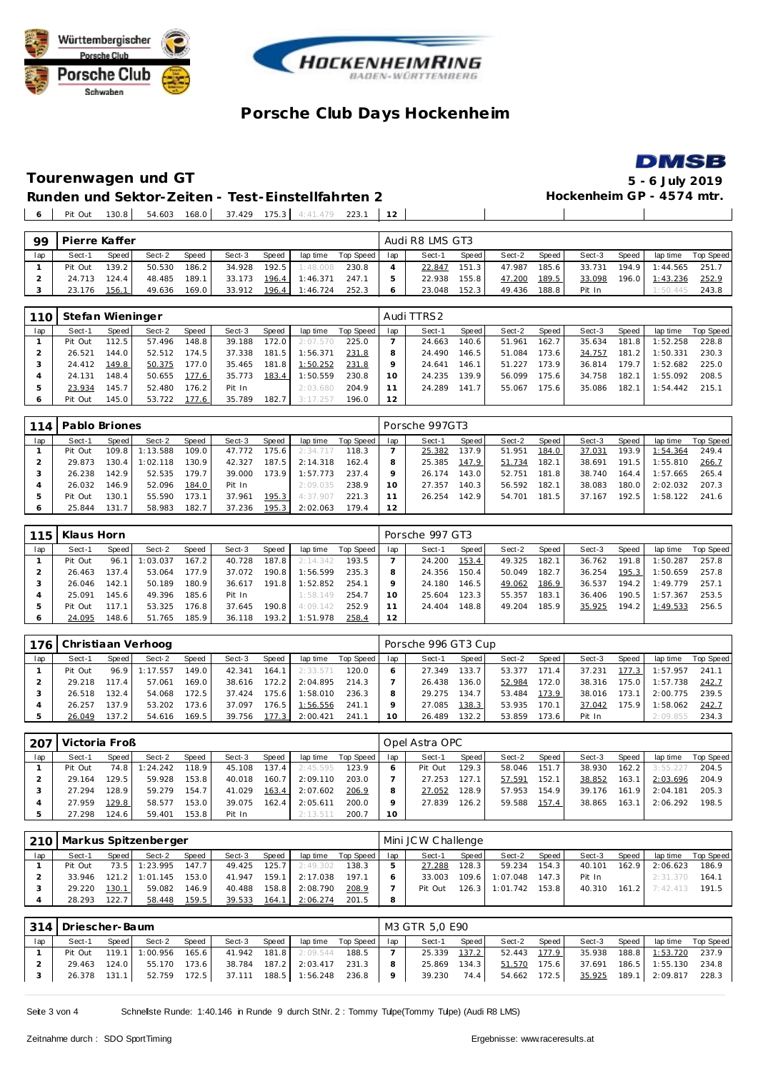





 $\overline{\phantom{a}}$ 

#### **Tourenwagen und GT 5 - 6 July 2019 Runden und Sektor-Zeiten - Test-Einstellfahrten 2** Pit Out 130.8 54.603 168.0 37.429 175.3 4:41.479 223.1 **12**

| 99  | Pierre Kaffer |       |        |              |        |                    |          |           |     | Audi R8 LMS GT3 |                    |        |       |        |       |          |           |
|-----|---------------|-------|--------|--------------|--------|--------------------|----------|-----------|-----|-----------------|--------------------|--------|-------|--------|-------|----------|-----------|
| lap | Sect-1        | Speed | Sect-2 | <b>Speed</b> | Sect-3 | <b>Speed</b>       | lap time | Top Speed | lap | Sect-1          | Speed              | Sect-2 | Speed | Sect-3 | Speed | lap time | Top Speed |
|     | Pit Out       | 139.2 | 50.530 | 186.2        | 34.928 | 192.5              | 1:48.008 | 230.8     |     | 22.847          | 151.3              | 47.987 | 185.6 | 33.731 | 194.9 | 1:44.565 | 251.7     |
|     | 24.713        | 124.4 | 48.485 | 189.1        | 33.173 | 196.4              | 1:46.371 | 247.1     |     | 22.938          | 155.8 <sub>1</sub> | 47.200 | 189.5 | 33.098 | 196.0 | 1:43.236 | 252.9     |
|     | 23.176        | 156.1 | 49.636 | 169.0        | 33.912 | 196.4 <sub>h</sub> | 1:46.724 | 252.3     |     | 23.048          | 152.3              | 49.436 | 188.8 | Pit In |       | 1:50.445 | 243.8     |

| 110 | Stefan Wieninger |         |        |       |        |       |          |           |     | Audi TTRS2 |         |        |       |        |       |          |                  |
|-----|------------------|---------|--------|-------|--------|-------|----------|-----------|-----|------------|---------|--------|-------|--------|-------|----------|------------------|
| lap | Sect-1           | Speed I | Sect-2 | Speed | Sect-3 | Speed | lap time | Top Speed | lap | Sect-1     | Speed I | Sect-2 | Speed | Sect-3 | Speed | lap time | <b>Top Speed</b> |
|     | Pit Out          | 112.5   | 57.496 | 148.8 | 39.188 | 172.0 | 2:07.570 | 225.0     |     | 24.663     | 140.6   | 51.961 | 162.7 | 35.634 | 181.8 | 1:52.258 | 228.8            |
|     | 26.521           | 144.0   | 52.512 | 174.5 | 37.338 | 181.5 | 1:56.371 | 231.8     |     | 24.490     | 146.5   | 51.084 | 173.6 | 34.757 | 181.2 | 1:50.331 | 230.3            |
|     | 24.412           | 149.8   | 50.375 | 177.0 | 35.465 | 181.8 | 1:50.252 | 231.8     |     | 24.641     | 146.1   | 51.227 | 173.9 | 36.814 | 179.7 | 1:52.682 | 225.0            |
|     | 24.131           | 148.4   | 50.655 | 177.6 | 35.773 | 183.4 | 1:50.559 | 230.8     | 10  | 24.235     | 139.9   | 56.099 | 175.6 | 34.758 | 182.1 | 1:55.092 | 208.5            |
|     | 23.934           | 145.7   | 52.480 | 176.2 | Pit In |       | 2:03.680 | 204.9     |     | 24.289     | 141.7   | 55.067 | 175.6 | 35.086 | 182.1 | 1:54.442 | 215.1            |
|     | Pit Out          | 145.0   | 53.722 | 177.6 | 35.789 | 182.7 | 3:17.257 | 196.0     | 12  |            |         |        |       |        |       |          |                  |

| 114 | Pablo Briones |       |          |       |        |       |          |           |     | Porsche 997GT3 |       |        |       |        |       |          |           |
|-----|---------------|-------|----------|-------|--------|-------|----------|-----------|-----|----------------|-------|--------|-------|--------|-------|----------|-----------|
| lap | Sect-1        | Speed | Sect-2   | Speed | Sect-3 | Speed | lap time | Top Speed | lap | Sect-1         | Speed | Sect-2 | Speed | Sect-3 | Speed | lap time | Top Speed |
|     | Pit Out       | 109.8 | : 13.588 | 109.0 | 47.772 | 175.6 | 2:34.717 | 118.3     |     | 25.382         | 137.9 | 51.951 | 184.0 | 37.031 | 193.9 | 1:54.364 | 249.4     |
|     | 29.873        | 130.4 | :02.118  | 130.9 | 42.327 | 187.5 | 2:14.318 | 162.4     |     | 25.385         | 147.9 | 51.734 | 182.1 | 38.691 | 191.5 | 1:55.810 | 266.7     |
|     | 26.238        | 142.9 | 52.535   | 179.7 | 39.000 | 173.9 | 1:57.773 | 237.4     |     | 26.174         | 143.0 | 52.751 | 181.8 | 38.740 | 164.4 | 1:57.665 | 265.4     |
|     | 26.032        | 146.9 | 52.096   | 184.0 | Pit In |       | 2:09.035 | 238.9     | 10  | 27.357         | 140.3 | 56.592 | 182.1 | 38.083 | 180.0 | 2:02.032 | 207.3     |
| ь   | Pit Out       | 130.1 | 55.590   | 173.1 | 37.961 | 195.3 | 4:37.907 | 221.3     |     | 26.254         | 142.9 | 54.701 | 181.5 | 37.167 | 192.5 | 1:58.122 | 241.6     |
| 6   | 25.844        | 131.7 | 58.983   | 182.7 | 37.236 | 195.3 | 2:02.063 | 179.4     | 12  |                |       |        |       |        |       |          |           |

| 115 | Klaus Horn |       |          |                    |        |       |          |           |          | Porsche 997 GT3 |       |        |       |        |       |          |                  |
|-----|------------|-------|----------|--------------------|--------|-------|----------|-----------|----------|-----------------|-------|--------|-------|--------|-------|----------|------------------|
| lap | Sect-1     | Speed | Sect-2   | Speed              | Sect-3 | Speed | lap time | Top Speed | lap      | Sect-1          | Speed | Sect-2 | Speed | Sect-3 | Speed | lap time | <b>Top Speed</b> |
|     | Pit Out    | 96.1  | 1:03.037 | 167.2              | 40.728 | 187.8 | 2:14.342 | 193.5     |          | 24.200          | 153.4 | 49.325 | 182.1 | 36.762 | 191.8 | 1:50.287 | 257.8            |
|     | 26.463     | 137.4 | 53.064   | 177.9 <sub>1</sub> | 37.072 | 190.8 | 1:56.599 | 235.3     |          | 24.356          | 150.4 | 50.049 | 182.7 | 36.254 | 195.3 | 1:50.659 | 257.8            |
|     | 26.046     | 142.1 | 50.189   | 180.9              | 36.617 | 191.8 | 1:52.852 | 254.1     |          | 24.180          | 146.5 | 49.062 | 186.9 | 36.537 | 194.2 | 1:49.779 | 257.1            |
|     | 25.091     | 145.6 | 49.396   | 185.6              | Pit In |       | 1:58.149 | 254.7     | $10^{-}$ | 25.604          | 123.3 | 55.357 | 183.1 | 36.406 | 190.5 | 1:57.367 | 253.5            |
|     | Pit Out    | 117.1 | 53.325   | 176.8              | 37.645 | 190.8 | 4:09.142 | 252.9     |          | 24.404          | 148.8 | 49.204 | 185.9 | 35.925 | 194.2 | 1:49.533 | 256.5            |
|     | 24.095     | 148.6 | 51.765   | 185.9              | 36.118 | 193.2 | 1:51.978 | 258.4     | 12       |                 |       |        |       |        |       |          |                  |

|     | 176 Christiaan Verhoog |         |          |       |        |        |          |           |         | Porsche 996 GT3 Cup |       |        |       |        |       |          |                  |
|-----|------------------------|---------|----------|-------|--------|--------|----------|-----------|---------|---------------------|-------|--------|-------|--------|-------|----------|------------------|
| lap | Sect-1                 | Speed I | Sect-2   | Speed | Sect-3 | Speed  | lap time | Top Speed | lap     | Sect-1              | Speed | Sect-2 | Speed | Sect-3 | Speed | lap time | <b>Top Speed</b> |
|     | Pit Out                | 96.9    | 1:17.557 | 149.0 | 42.341 | 164.1  | 2:33.571 | 120.0     |         | 27.349              | 133.7 | 53.377 | 171.4 | 37.231 | 177.3 | 1:57.957 | 241.1            |
|     | 29.218                 | 17.4    | 57.061   | 169.0 | 38.616 | 172.2  | 2:04.895 | 214.3     |         | 26.438              | 136.0 | 52.984 | 172.0 | 38.316 | 175.0 | 1:57.738 | 242.7            |
|     | 26.518                 | 132.4   | 54.068   | 172.5 | 37.424 | 175.61 | 1:58.010 | 236.3     |         | 29.275              | 134.7 | 53.484 | 173.9 | 38.016 | 173.1 | 2:00.775 | 239.5            |
|     | 26.257                 | 137.9   | 53.202   | 173.6 | 37.097 | 76.5   | 1:56.556 | 241.1     |         | 27.085              | 138.3 | 53.935 | 170.1 | 37.042 | 175.9 | 1:58.062 | 242.7            |
|     | 26.049                 | 137.2 I | 54.616   | 169.5 | 39.756 | 177.3  | 2:00.421 | 241.      | $10-10$ | 26.489              | 132.2 | 53.859 | 173.6 | Pit In |       | 2:09.855 | 234.3            |

| 207 | Victoria Froß |        |          |       |        |           |          |           |         | Opel Astra OPC |       |        |       |        |       |          |           |
|-----|---------------|--------|----------|-------|--------|-----------|----------|-----------|---------|----------------|-------|--------|-------|--------|-------|----------|-----------|
| lap | Sect-1        | Speed  | Sect-2   | Speed | Sect-3 | Speed     | lap time | Top Speed | lap     | Sect-1         | Speed | Sect-2 | Speed | Sect-3 | Speed | lap time | Top Speed |
|     | Pit Out       | 74.8   | 1:24.242 | 118.9 | 45.108 | $137.4$ i | 2:45.595 | 123.9     |         | Pit Out        | 129.3 | 58.046 | 151.7 | 38.930 | 162.2 | 3:55.227 | 204.5     |
|     | 29.164        | 129.5  | 59.928   | 153.8 | 40.018 | 160.7     | 2:09.110 | 203.0     |         | 27.253         | 127.1 | 57.591 | 152.1 | 38.852 | 163.1 | 2:03.696 | 204.9     |
|     | 27.294        | 128.91 | 59.279   | 154.7 | 41.029 | 163.4     | 2:07.602 | 206.9     |         | 27.052         | 128.9 | 57.953 | 154.9 | 39.176 | 161.9 | 2:04.181 | 205.3     |
|     | 27.959        | 129.8  | 58.577   | 153.0 | 39.075 | 162.4     | 2:05.611 | 200.0     | $\circ$ | 27.839         | 126.2 | 59.588 | 157.4 | 38.865 | 163.1 | 2:06.292 | 198.5     |
|     | 27.298        | 124.6  | 59.401   | 153.8 | Pit In |           | 2:13.511 | 200.7     | 10      |                |       |        |       |        |       |          |           |

|     |         |         | 210   Markus Spitzenberger |       |        |       |          |           |     | Mini JCW Challenge |         |          |       |        |       |                       |           |
|-----|---------|---------|----------------------------|-------|--------|-------|----------|-----------|-----|--------------------|---------|----------|-------|--------|-------|-----------------------|-----------|
| lap | Sect-1  | Speed I | Sect-2                     | Speed | Sect-3 | Speed | lap time | Top Speed | lap | Sect-1             | Speed I | Sect-2   | Speed | Sect-3 | Speed | lap time              | Top Speed |
|     | Pit Out | 73.5    | 1:23.995                   | 147.7 | 49.425 | 125.7 | 2:49.302 | 138.3     |     | 27.288             | 128.3   | 59.234   | 154.3 | 40.101 | 162.9 | 2:06.623              | 186.9     |
|     | 33.946  |         | $121.2$ 1:01.145           | 153.0 | 41.947 | 159.1 | 2:17.038 | 197.1     |     | 33.003             | 109.6   | 1:07.048 | 147.3 | Pit In |       | 2:31.370              | 164.1     |
|     | 29.220  | 130.1   | 59.082                     | 146.9 | 40.488 | 158.8 | 2:08.790 | 208.9     |     | Pit Out            | 126.3   | 1:01.742 | 153.8 | 40.310 |       | <b>161.2</b> 7:42.413 | 191.5     |
|     | 28.293  | 122.7   | 58.448                     | 159.5 | 39.533 | 164.1 | 2:06.274 | 201.5     |     |                    |         |          |       |        |       |                       |           |

|     | 314   Driescher-Baum |       |                |       |              |       |                       |                 | M3 GTR 5.0 E90 |       |              |       |        |       |                         |           |
|-----|----------------------|-------|----------------|-------|--------------|-------|-----------------------|-----------------|----------------|-------|--------------|-------|--------|-------|-------------------------|-----------|
| lap | Sect-1               | Speed | Sect-2         | Speed | Sect-3       | Speed | lap time              | Top Speed   Iap | Sect-1         | Speed | Sect-2       | Speed | Sect-3 | Speed | lap time                | Top Speed |
|     | Pit Out              |       | 119.1 1:00.956 | 165.6 | 41.942 181.8 |       | 2:09.544              | 188.5           | 25.339         | 137.2 | 52.443 177.9 |       | 35.938 |       | 188.8 1:53.720          | 237.9     |
|     | 29.463               | 124.0 | 55.170         | 173.6 | 38.784 187.2 |       | 2:03.417              | 231.3           | 25.869         | 134.3 | 51.570       | 175.6 |        |       | 37.691  186.5  1:55.130 | 234.8 1   |
|     | 26.378               | 131.1 | 52.759         | 172.5 |              |       | 37.111 188.5 1:56.248 | 236.8 9         | 39.230         | 74.4  | 54.662 172.5 |       |        |       | 35.925 189.1 2:09.817   | 228.3     |

Seite 3 von 4 Schnelste Runde: 1:40.146 in Runde 9 durch StNr. 2 : Tommy Tulpe(Tommy Tulpe) (Audi R8 LMS)